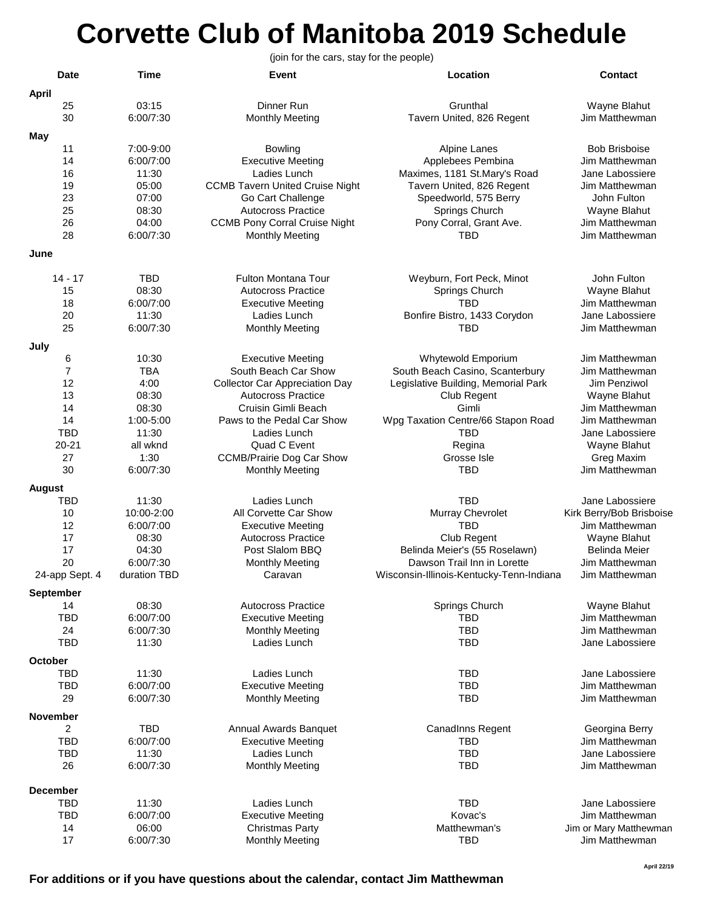## **Corvette Club of Manitoba 2019 Schedule**

**Date Time Event Location Contact April** 25 03:15 Dinner Run Grunthal Wayne Blahut 30 6:00/7:30 Monthly Meeting Tavern United, 826 Regent Jim Matthewman **May** 11 7:00-9:00 Bowling Alpine Lanes Bob Brisboise 14 6:00/7:00 Executive Meeting Applebees Pembina Jim Matthewman 16 11:30 Ladies Lunch Maximes, 1181 St.Mary's Road Jane Labossiere 19 05:00 CCMB Tavern United Cruise Night Tavern United, 826 Regent Jim Matthewman 23 07:00 Go Cart Challenge Speedworld, 575 Berry John Fulton 25 08:30 Autocross Practice Springs Church Wayne Blahut 26 04:00 CCMB Pony Corral Cruise Night Pony Corral, Grant Ave. 28 6:00/7:30 Monthly Meeting TBD Jim Matthewman **June** 14 - 17 TBD Fulton Montana Tour Weyburn, Fort Peck, Minot John Fulton 15 08:30 Autocross Practice Springs Church Wayne Blahut 18 6:00/7:00 Executive Meeting TBD Jim Matthewman 20 11:30 Ladies Lunch Bonfire Bistro, 1433 Corydon Jane Labossiere 25 6:00/7:30 Monthly Meeting TBD Jim Matthewman **July** 6 10:30 Executive Meeting Whytewold Emporium Jim Matthewman 7 TBA South Beach Car Show South Beach Casino, Scanterbury Jim Matthewman<br>12 19 Tegislative Building, Memorial Park Jim Penziwol 12 4:00 Collector Car Appreciation Day Legislative Building, Memorial Park Jim Penziwol 13 08:30 Autocross Practice Club Regent Wayne Blahut 14 08:30 Cruisin Gimli Beach Gimli Jim Matthewman 14 1:00-5:00 Paws to the Pedal Car Show Wpg Taxation Centre/66 Stapon Road Jim Matthewman TBD 11:30 Ladies Lunch TBD Jane Labossiere 20-21 all wknd Quad C Event Regina Wayne Blahut 27 1:30 CCMB/Prairie Dog Car Show Grosse Isle Greg Maxim 30 6:00/7:30 Monthly Meeting TBD Jim Matthewman **August** TBD 11:30 Ladies Lunch TBD Jane Labossiere 10 10:00-2:00 All Corvette Car Show Murray Chevrolet Kirk Berry/Bob Brisboise<br>12 6:00/7:00 Executive Meeting TBD TBD Jim Matthewman 12 6:00/7:00 **Executive Meeting Community Community** TBD 17 17 08:30 Autocross Practice Club Regent Club Regent Wayne Blahut<br>17 04:30 Post Slalom BBQ Belinda Meier's (55 Roselawn) Belinda Meier 17 04:30 Post Slalom BBQ Belinda Meier's (55 Roselawn) 20 6:00/7:30 Monthly Meeting Dawson Trail Inn in Lorette Jim Matthewman 24-app Sept. 4 duration TBD Caravan Wisconsin-Illinois-Kentucky-Tenn-Indiana Jim Matthewman **September** 14 08:30 Autocross Practice Springs Church Wayne Blahut TBD 6:00/7:00 Executive Meeting TBD Jim Matthewman 24 6:00/7:30 Monthly Meeting TBD Jim Matthewman TBD 11:30 Ladies Lunch TBD Jane Labossiere **October** TBD 11:30 Ladies Lunch TBD Jane Labossiere TBD 6:00/7:00 Executive Meeting TBD Jim Matthewman 29 6:00/7:30 Monthly Meeting TBD Jim Matthewman **November** 2 TBD Annual Awards Banquet CanadInns Regent Georgina Berry 6:00/7:00 **Executive Meeting Community Community** TBD TBD Jim Matthewman TBD 11:30 Ladies Lunch TBD Jane Labossiere 26 6:00/7:30 Monthly Meeting TBD Jim Matthewman **December** TBD 11:30 Ladies Lunch TBD Jane Labossiere TBD 6:00/7:00 **Executive Meeting Community Contract Constant Constructs** Kovac's Jim Matthewman 14 06:00 Christmas Party **Matthewman's** Jim or Mary Matthewman 17 6:00/7:30 Monthly Meeting TBD Jim Matthewman (join for the cars, stay for the people)